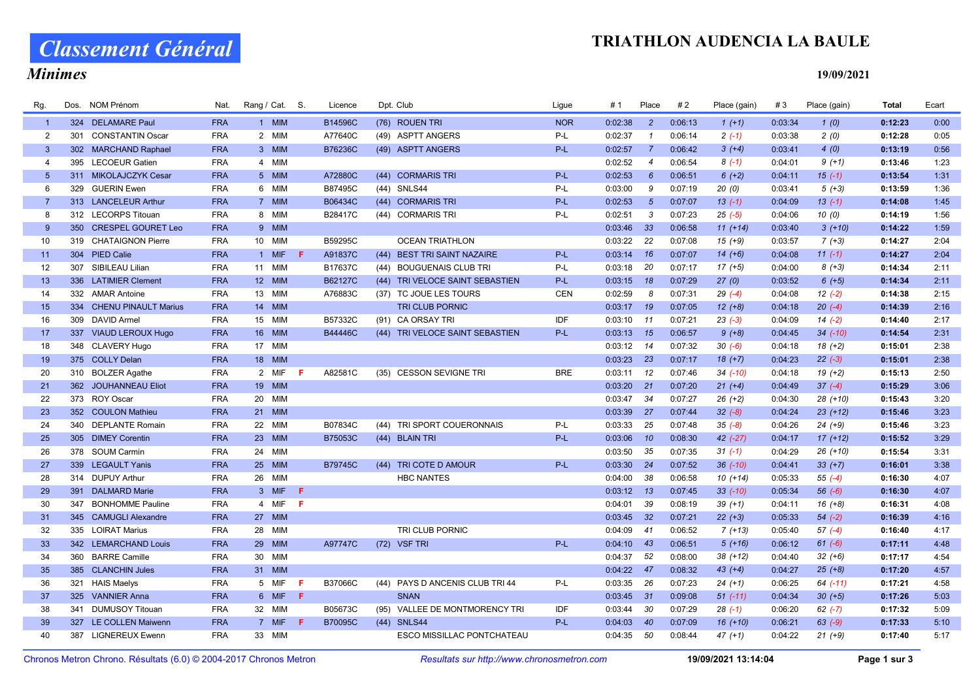## TRIATHLON AUDENCIA LA BAULE

# Classement Général

### Minimes

19/09/2021

| Rg.            | Dos. | <b>NOM Prénom</b>         | Nat.       | Rang / Cat. S. |     | Licence        | Dpt. Club                         | Ligue      | #1           | Place           | #2      | Place (gain) | #3      | Place (gain) | Total   | Ecart |
|----------------|------|---------------------------|------------|----------------|-----|----------------|-----------------------------------|------------|--------------|-----------------|---------|--------------|---------|--------------|---------|-------|
| $\overline{1}$ |      | 324 DELAMARE Paul         | <b>FRA</b> | 1 MIM          |     | B14596C        | (76) ROUEN TRI                    | <b>NOR</b> | 0:02:38      | $\overline{2}$  | 0:06:13 | $1(+1)$      | 0:03:34 | 1(0)         | 0:12:23 | 0:00  |
| $\overline{2}$ |      | 301 CONSTANTIN Oscar      | <b>FRA</b> | 2 MIM          |     | A77640C        | (49) ASPTT ANGERS                 | P-L        | 0:02:37      | $\mathcal I$    | 0:06:14 | $2(-1)$      | 0:03:38 | 2(0)         | 0:12:28 | 0:05  |
| $\mathbf{3}$   |      | 302 MARCHAND Raphael      | <b>FRA</b> | 3 MIM          |     | B76236C        | (49) ASPTT ANGERS                 | $P-L$      | 0:02:57      | $\overline{7}$  | 0:06:42 | $3(+4)$      | 0:03:41 | 4(0)         | 0:13:19 | 0:56  |
| $\overline{4}$ | 395  | <b>LECOEUR Gatien</b>     | <b>FRA</b> | 4 MIM          |     |                |                                   |            | 0:02:52      | $\overline{4}$  | 0:06:54 | $8(-1)$      | 0:04:01 | $9(+1)$      | 0:13:46 | 1:23  |
| 5              |      | 311 MIKOLAJCZYK Cesar     | <b>FRA</b> | 5 MIM          |     | A72880C        | (44) CORMARIS TRI                 | $P-L$      | 0:02:53      | $6\overline{6}$ | 0:06:51 | $6(+2)$      | 0:04:11 | $15(-1)$     | 0:13:54 | 1:31  |
| 6              | 329  | <b>GUERIN Ewen</b>        | <b>FRA</b> | 6 MIM          |     | B87495C        | (44) SNLS44                       | P-L        | 0:03:00      | 9               | 0:07:19 | 20(0)        | 0:03:41 | $5(+3)$      | 0:13:59 | 1:36  |
| $\overline{7}$ |      | 313 LANCELEUR Arthur      | <b>FRA</b> | 7 MIM          |     | B06434C        | (44) CORMARIS TRI                 | P-L        | 0:02:53      | $5\overline{5}$ | 0:07:07 | $13(-1)$     | 0:04:09 | $13(-1)$     | 0:14:08 | 1:45  |
| 8              |      | 312 LECORPS Titouan       | <b>FRA</b> | 8 MIM          |     | B28417C        | (44) CORMARIS TRI                 | $P-L$      | 0:02:51      | 3               | 0:07:23 | $25(-5)$     | 0:04:06 | 10(0)        | 0:14:19 | 1:56  |
| 9              | 350  | <b>CRESPEL GOURET Leo</b> | <b>FRA</b> | 9 MIM          |     |                |                                   |            | 0:03:46      | 33 <sup>°</sup> | 0:06:58 | $11 (+14)$   | 0:03:40 | $3(+10)$     | 0:14:22 | 1:59  |
| 10             |      | 319 CHATAIGNON Pierre     | <b>FRA</b> | 10 MIM         |     | B59295C        | <b>OCEAN TRIATHLON</b>            |            | 0:03:22      | 22              | 0:07:08 | $15(+9)$     | 0:03:57 | $7(+3)$      | 0:14:27 | 2:04  |
| 11             |      | 304 PIED Calie            | <b>FRA</b> | 1 MIF          | -F. | A91837C        | (44) BEST TRI SAINT NAZAIRE       | $P-L$      | $0:03:14$ 16 |                 | 0:07:07 | $14(+6)$     | 0:04:08 | $11(-1)$     | 0:14:27 | 2:04  |
| 12             |      | 307 SIBILEAU Lilian       | <b>FRA</b> | 11 MIM         |     | B17637C        | (44) BOUGUENAIS CLUB TRI          | P-L        | 0:03:18      | - 20            | 0:07:17 | $17(+5)$     | 0:04:00 | $8 (+3)$     | 0:14:34 | 2:11  |
| 13             |      | 336 LATIMIER Clement      | <b>FRA</b> | 12 MIM         |     | B62127C        | (44) TRI VELOCE SAINT SEBASTIEN   | $P-L$      | 0:03:15      | 18              | 0:07:29 | 27(0)        | 0:03:52 | $6 (+5)$     | 0:14:34 | 2:11  |
| 14             |      | 332 AMAR Antoine          | <b>FRA</b> | 13 MIM         |     | A76883C        | (37) TC JOUE LES TOURS            | <b>CEN</b> | 0:02:59      | 8               | 0:07:31 | $29(-4)$     | 0:04:08 | $12(-2)$     | 0:14:38 | 2:15  |
| 15             |      | 334 CHENU PINAULT Marius  | <b>FRA</b> | 14 MIM         |     |                | <b>TRI CLUB PORNIC</b>            |            | 0:03:17      | 19              | 0:07:05 | $12 (+8)$    | 0:04:18 | $20( -4)$    | 0:14:39 | 2:16  |
| 16             |      | 309 DAVID Armel           | <b>FRA</b> | 15 MIM         |     | B57332C        | (91) CA ORSAY TRI                 | IDF        | 0:03:10      | 11              | 0:07:21 | $23(-3)$     | 0:04:09 | $14(-2)$     | 0:14:40 | 2:17  |
| 17             |      | 337 VIAUD LEROUX Hugo     | <b>FRA</b> | 16 MIM         |     | B44446C        | (44) TRI VELOCE SAINT SEBASTIEN   | $P-L$      | 0:03:13      | 15              | 0:06:57 | $9 (+8)$     | 0:04:45 | $34$ $(-10)$ | 0:14:54 | 2:31  |
| 18             |      | 348 CLAVERY Hugo          | <b>FRA</b> | 17 MIM         |     |                |                                   |            | $0:03:12$ 14 |                 | 0:07:32 | $30(-6)$     | 0:04:18 | $18(+2)$     | 0:15:01 | 2:38  |
| 19             |      | 375 COLLY Delan           | <b>FRA</b> | 18 MIM         |     |                |                                   |            | 0:03:23      | 23              | 0:07:17 | $18(+7)$     | 0:04:23 | $22 (-3)$    | 0:15:01 | 2:38  |
| 20             |      | 310 BOLZER Agathe         | <b>FRA</b> | 2 MIF          | -F  | A82581C        | (35) CESSON SEVIGNE TRI           | <b>BRE</b> | $0:03:11$ 12 |                 | 0:07:46 | $34$ $(-10)$ | 0:04:18 | $19(+2)$     | 0:15:13 | 2:50  |
| 21             |      | 362 JOUHANNEAU Eliot      | <b>FRA</b> | 19 MIM         |     |                |                                   |            | 0:03:20      | 21              | 0:07:20 | $21 (+4)$    | 0:04:49 | $37(-4)$     | 0:15:29 | 3:06  |
| 22             |      | 373 ROY Oscar             | <b>FRA</b> | 20 MIM         |     |                |                                   |            | 0:03:47 34   |                 | 0:07:27 | $26 (+2)$    | 0:04:30 | $28 (+10)$   | 0:15:43 | 3:20  |
| 23             |      | 352 COULON Mathieu        | <b>FRA</b> | 21 MIM         |     |                |                                   |            | $0:03:39$ 27 |                 | 0:07:44 | $32 (-8)$    | 0:04:24 | $23 (+12)$   | 0:15:46 | 3:23  |
| 24             |      | 340 DEPLANTE Romain       | <b>FRA</b> | 22 MIM         |     | B07834C        | (44) TRI SPORT COUERONNAIS        | P-L        | 0:03:33      | 25              | 0:07:48 | $35(-8)$     | 0:04:26 | $24 (+9)$    | 0:15:46 | 3:23  |
| 25             |      | 305 DIMEY Corentin        | <b>FRA</b> | 23 MIM         |     | B75053C        | (44) BLAIN TRI                    | $P-L$      | 0:03:06      | 10              | 0:08:30 | $42$ $(-27)$ | 0:04:17 | $17(+12)$    | 0:15:52 | 3:29  |
| 26             |      | 378 SOUM Carmin           | <b>FRA</b> | 24 MIM         |     |                |                                   |            | 0:03:50      | 35              | 0:07:35 | $31(-1)$     | 0:04:29 | $26 (+10)$   | 0:15:54 | 3:31  |
| 27             |      | 339 LEGAULT Yanis         | <b>FRA</b> | 25 MIM         |     | <b>B79745C</b> | (44) TRI COTE D AMOUR             | P-L        | 0:03:30      | 24              | 0:07:52 | $36$ $(-10)$ | 0:04:41 | $33 (+7)$    | 0:16:01 | 3:38  |
| 28             |      | 314 DUPUY Arthur          | <b>FRA</b> | 26 MIM         |     |                | <b>HBC NANTES</b>                 |            | 0:04:00      | 38              | 0:06:58 | $10(+14)$    | 0:05:33 | $55(-4)$     | 0:16:30 | 4:07  |
| 29             |      | 391 DALMARD Marie         | <b>FRA</b> | 3 MIF          | -F  |                |                                   |            | 0:03:12      | 13              | 0:07:45 | $33(-10)$    | 0:05:34 | $56(-6)$     | 0:16:30 | 4:07  |
| 30             | 347  | <b>BONHOMME Pauline</b>   | <b>FRA</b> | 4 MIF          | F.  |                |                                   |            | 0:04:01      | 39              | 0:08:19 | $39 (+1)$    | 0:04:11 | $16(+8)$     | 0:16:31 | 4:08  |
| 31             |      | 345 CAMUGLI Alexandre     | <b>FRA</b> | 27 MIM         |     |                |                                   |            | 0:03:45      | 32 <sup>°</sup> | 0:07:21 | $22 (+3)$    | 0:05:33 | $54(-2)$     | 0:16:39 | 4:16  |
| 32             |      | 335 LOIRAT Marius         | <b>FRA</b> | 28 MIM         |     |                | TRI CLUB PORNIC                   |            | 0:04:09      | 41              | 0:06:52 | $7(+13)$     | 0:05:40 | $57(-4)$     | 0:16:40 | 4:17  |
| 33             |      | 342 LEMARCHAND Louis      | <b>FRA</b> | 29 MIM         |     | A97747C        | (72) VSF TRI                      | P-L        | 0:04:10      | $-43$           | 0:06:51 | $5(+16)$     | 0:06:12 | $61 (-6)$    | 0:17:11 | 4:48  |
| 34             | 360  | <b>BARRE Camille</b>      | <b>FRA</b> | 30 MIM         |     |                |                                   |            | 0:04:37      | 52              | 0:08:00 | $38 (+12)$   | 0:04:40 | $32 (+6)$    | 0:17:17 | 4:54  |
| 35             |      | 385 CLANCHIN Jules        | <b>FRA</b> | 31 MIM         |     |                |                                   |            | 0:04:22      | 47              | 0:08:32 | $43 (+4)$    | 0:04:27 | $25 (+8)$    | 0:17:20 | 4:57  |
| 36             |      | 321 HAIS Maelys           | <b>FRA</b> | 5 MIF          | -F  | B37066C        | (44) PAYS D ANCENIS CLUB TRI 44   | P-L        | 0:03:35      | 26              | 0:07:23 | $24(+1)$     | 0:06:25 | $64$ $(-11)$ | 0:17:21 | 4:58  |
| 37             |      | 325 VANNIER Anna          | <b>FRA</b> | 6 MIF          | - F |                | <b>SNAN</b>                       |            | 0:03:45      | 31              | 0:09:08 | $51$ $(-11)$ | 0:04:34 | $30 (+5)$    | 0:17:26 | 5:03  |
| 38             | 341  | <b>DUMUSOY Titouan</b>    | <b>FRA</b> | 32 MIM         |     | B05673C        | (95) VALLEE DE MONTMORENCY TRI    | IDF        | 0:03:44      | 30              | 0:07:29 | $28(-1)$     | 0:06:20 | $62 (-7)$    | 0:17:32 | 5:09  |
| 39             | 327  | <b>LE COLLEN Maiwenn</b>  | <b>FRA</b> | 7 MIF          | F.  | B70095C        | (44) SNLS44                       | P-L        | 0:04:03      | 40              | 0:07:09 | $16(+10)$    | 0:06:21 | $63$ $(-9)$  | 0:17:33 | 5:10  |
| 40             |      | 387 LIGNEREUX Ewenn       | <b>FRA</b> | 33 MIM         |     |                | <b>ESCO MISSILLAC PONTCHATEAU</b> |            | 0:04:35      | 50              | 0:08:44 | $47 (+1)$    | 0:04:22 | $21 (+9)$    | 0:17:40 | 5:17  |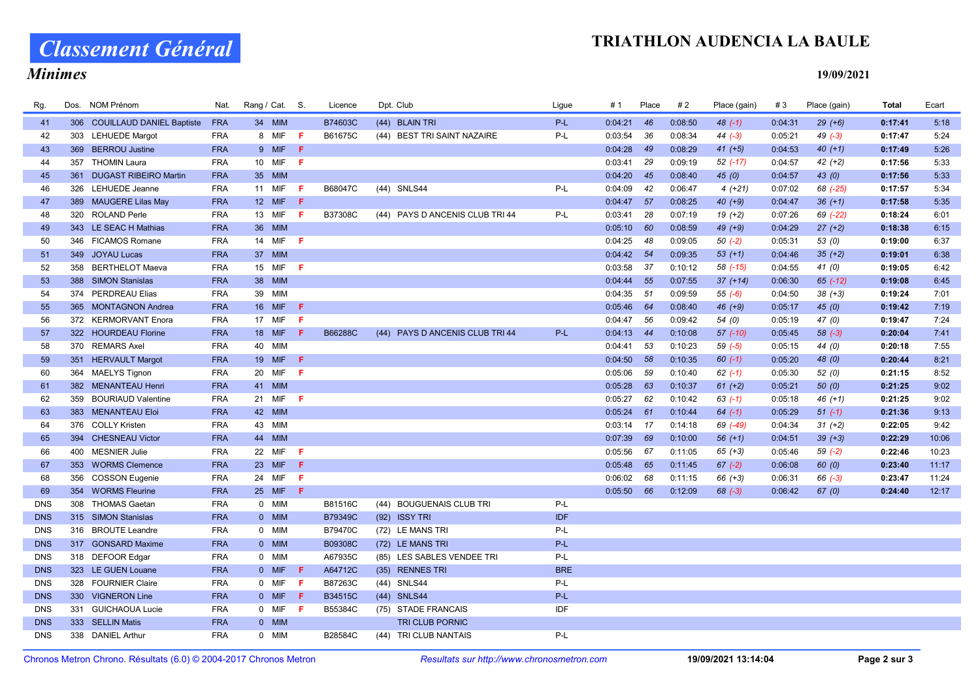## TRIATHLON AUDENCIA LA BAULE

# Classement Général

#### Minimes

19/09/2021

| Rg.        | Dos. NOM Prénom               | Nat.       | Rang / Cat. S. |     | Licence        | Dpt. Club                       | Lique      | # 1          | Place | #2      | Place (gain) | #3      | Place (gain) | Total   | Ecart |
|------------|-------------------------------|------------|----------------|-----|----------------|---------------------------------|------------|--------------|-------|---------|--------------|---------|--------------|---------|-------|
| 41         | 306 COUILLAUD DANIEL Baptiste | <b>FRA</b> | 34 MIM         |     | B74603C        | (44) BLAIN TRI                  | P-L        | 0:04:21      | 46    | 0:08:50 | $48$ $(-1)$  | 0:04:31 | $29 (+6)$    | 0:17:41 | 5:18  |
| 42         | 303 LEHUEDE Margot            | <b>FRA</b> | 8 MIF          | F   | B61675C        | (44) BEST TRI SAINT NAZAIRE     | P-L        | 0:03:54      | 36    | 0:08:34 | $44 (-3)$    | 0:05:21 | $49(-3)$     | 0:17:47 | 5:24  |
| 43         | 369 BERROU Justine            | <b>FRA</b> | 9 MIF          | F   |                |                                 |            | 0:04:28      | 49    | 0:08:29 | $41 (+5)$    | 0:04:53 | $40(+1)$     | 0:17:49 | 5:26  |
| 44         | 357 THOMIN Laura              | <b>FRA</b> | 10 MIF         | -F  |                |                                 |            | 0:03:41      | 29    | 0:09:19 | $52$ (-17)   | 0:04:57 | $42 (+2)$    | 0:17:56 | 5:33  |
| 45         | 361 DUGAST RIBEIRO Martin     | <b>FRA</b> | 35 MIM         |     |                |                                 |            | 0:04:20      | 45    | 0:08:40 | 45(0)        | 0:04:57 | 43(0)        | 0:17:56 | 5:33  |
| 46         | 326 LEHUEDE Jeanne            | <b>FRA</b> | 11 MIF         | F   | B68047C        | (44) SNLS44                     | P-L        | 0:04:09      | 42    | 0:06:47 | $4(+21)$     | 0:07:02 | 68 (-25)     | 0:17:57 | 5:34  |
| 47         | 389 MAUGERE Lilas May         | <b>FRA</b> | 12 MIF         | -F  |                |                                 |            | 0:04:47      | 57    | 0:08:25 | $40 (+9)$    | 0:04:47 | $36 (+1)$    | 0:17:58 | 5:35  |
| 48         | 320 ROLAND Perle              | <b>FRA</b> | 13 MIF         | F   | B37308C        | (44) PAYS D ANCENIS CLUB TRI 44 | P-L        | 0:03:41      | 28    | 0:07:19 | $19(+2)$     | 0:07:26 | 69 (-22)     | 0:18:24 | 6:01  |
| 49         | 343 LE SEAC H Mathias         | <b>FRA</b> | 36 MIM         |     |                |                                 |            | $0:05:10$ 60 |       | 0:08:59 | $49 (+9)$    | 0:04:29 | $27 (+2)$    | 0:18:38 | 6:15  |
| 50         | 346 FICAMOS Romane            | <b>FRA</b> | 14 MIF         | F   |                |                                 |            | 0:04:25      | 48    | 0:09:05 | $50(-2)$     | 0:05:31 | 53(0)        | 0:19:00 | 6:37  |
| 51         | 349 JOYAU Lucas               | <b>FRA</b> | 37 MIM         |     |                |                                 |            | $0:04:42$ 54 |       | 0:09:35 | $53(+1)$     | 0:04:46 | $35 (+2)$    | 0:19:01 | 6:38  |
| 52         | 358 BERTHELOT Maeva           | <b>FRA</b> | 15 MIF         | F   |                |                                 |            | 0:03:58      | 37    | 0:10:12 | 58 (-15)     | 0:04:55 | 41 (0)       | 0:19:05 | 6:42  |
| 53         | 388 SIMON Stanislas           | <b>FRA</b> | 38 MIM         |     |                |                                 |            | 0:04:44      | 55    | 0:07:55 | $37 (+14)$   | 0:06:30 | $65$ $(-12)$ | 0:19:08 | 6:45  |
| 54         | 374 PERDREAU Elias            | <b>FRA</b> | 39 MIM         |     |                |                                 |            | 0:04:35      | 51    | 0:09:59 | $55 (-6)$    | 0:04:50 | $38 (+3)$    | 0:19:24 | 7:01  |
| 55         | 365 MONTAGNON Andrea          | <b>FRA</b> | 16 MIF         | F   |                |                                 |            | 0:05:46      | 64    | 0:08:40 | $46 (+9)$    | 0:05:17 | 45(0)        | 0:19:42 | 7:19  |
| 56         | 372 KERMORVANT Enora          | <b>FRA</b> | 17 MIF         | F   |                |                                 |            | 0:04:47      | 56    | 0:09:42 | 54 (0)       | 0:05:19 | 47 (0)       | 0:19:47 | 7:24  |
| 57         | 322 HOURDEAU Florine          | <b>FRA</b> | 18 MIF         | F   | B66288C        | (44) PAYS D ANCENIS CLUB TRI 44 | P-L        | 0:04:13      | 44    | 0:10:08 | 57 (-10)     | 0:05:45 | $58(-3)$     | 0:20:04 | 7:41  |
| 58         | 370 REMARS Axel               | <b>FRA</b> | 40 MIM         |     |                |                                 |            | 0:04:41      | 53    | 0:10:23 | $59(-5)$     | 0:05:15 | 44 (0)       | 0:20:18 | 7:55  |
| 59         | 351 HERVAULT Margot           | <b>FRA</b> | 19 MIF         | F   |                |                                 |            | 0:04:50      | 58    | 0:10:35 | $60(-1)$     | 0:05:20 | 48 (0)       | 0:20:44 | 8:21  |
| 60         | 364 MAELYS Tignon             | <b>FRA</b> | 20 MIF         | F   |                |                                 |            | 0:05:06      | 59    | 0:10:40 | $62$ (-1)    | 0:05:30 | 52(0)        | 0:21:15 | 8:52  |
| 61         | 382 MENANTEAU Henri           | <b>FRA</b> | 41 MIM         |     |                |                                 |            | 0:05:28      | 63    | 0:10:37 | $61 (+2)$    | 0:05:21 | 50(0)        | 0:21:25 | 9:02  |
| 62         | 359 BOURIAUD Valentine        | <b>FRA</b> | 21 MIF         | F   |                |                                 |            | 0:05:27      | 62    | 0:10:42 | $63$ (-1)    | 0:05:18 | $46 (+1)$    | 0:21:25 | 9:02  |
| 63         | 383 MENANTEAU Eloi            | <b>FRA</b> | 42 MIM         |     |                |                                 |            | 0:05:24      | 61    | 0:10:44 | $64$ $(-1)$  | 0:05:29 | $51(-1)$     | 0:21:36 | 9:13  |
| 64         | 376 COLLY Kristen             | <b>FRA</b> | 43 MIM         |     |                |                                 |            | 0:03:14      | 17    | 0:14:18 | 69 (-49)     | 0:04:34 | $31 (+2)$    | 0:22:05 | 9:42  |
| 65         | 394 CHESNEAU Victor           | <b>FRA</b> | 44 MIM         |     |                |                                 |            | 0:07:39      | 69    | 0:10:00 | $56 (+1)$    | 0:04:51 | $39 (+3)$    | 0:22:29 | 10:06 |
| 66         | 400 MESNIER Julie             | <b>FRA</b> | 22 MIF         | F   |                |                                 |            | 0:05:56      | 67    | 0:11:05 | $65 (+3)$    | 0:05:46 | $59(-2)$     | 0:22:46 | 10:23 |
| 67         | 353 WORMS Clemence            | <b>FRA</b> | 23 MIF         | F   |                |                                 |            | 0:05:48      | 65    | 0:11:45 | $67 (-2)$    | 0:06:08 | 60(0)        | 0:23:40 | 11:17 |
| 68         | 356 COSSON Eugenie            | <b>FRA</b> | 24 MIF         | F   |                |                                 |            | 0:06:02      | 68    | 0:11:15 | $66 (+3)$    | 0:06:31 | $66 (-3)$    | 0:23:47 | 11:24 |
| 69         | 354 WORMS Fleurine            | <b>FRA</b> | 25 MIF         | F.  |                |                                 |            | 0:05:50      | 66    | 0:12:09 | $68 (-3)$    | 0:06:42 | 67(0)        | 0:24:40 | 12:17 |
| <b>DNS</b> | 308 THOMAS Gaetan             | <b>FRA</b> | 0 MIM          |     | B81516C        | (44) BOUGUENAIS CLUB TRI        | P-L        |              |       |         |              |         |              |         |       |
| <b>DNS</b> | 315 SIMON Stanislas           | <b>FRA</b> | 0 MIM          |     | B79349C        | $(92)$ ISSY TRI                 | IDF        |              |       |         |              |         |              |         |       |
| <b>DNS</b> | 316 BROUTE Leandre            | <b>FRA</b> | 0 MIM          |     | B79470C        | (72) LE MANS TRI                | P-L        |              |       |         |              |         |              |         |       |
| <b>DNS</b> | 317 GONSARD Maxime            | <b>FRA</b> | 0 MIM          |     | B09308C        | (72) LE MANS TRI                | P-L        |              |       |         |              |         |              |         |       |
| <b>DNS</b> | 318 DEFOOR Edgar              | <b>FRA</b> | 0 MIM          |     | A67935C        | (85) LES SABLES VENDEE TRI      | P-L        |              |       |         |              |         |              |         |       |
| <b>DNS</b> | 323 LE GUEN Louane            | <b>FRA</b> | 0 MIF          | - F | A64712C        | (35) RENNES TRI                 | <b>BRE</b> |              |       |         |              |         |              |         |       |
| <b>DNS</b> | 328 FOURNIER Claire           | <b>FRA</b> | 0 MIF          | F   | B87263C        | (44) SNLS44                     | P-L        |              |       |         |              |         |              |         |       |
| <b>DNS</b> | 330 VIGNERON Line             | <b>FRA</b> | 0 MIF          | F   | <b>B34515C</b> | (44) SNLS44                     | P-L        |              |       |         |              |         |              |         |       |
| <b>DNS</b> | 331 GUICHAOUA Lucie           | <b>FRA</b> | 0 MIF          | F   | B55384C        | (75) STADE FRANCAIS             | IDF        |              |       |         |              |         |              |         |       |
| <b>DNS</b> | 333 SELLIN Matis              | <b>FRA</b> | 0 MIM          |     |                | TRI CLUB PORNIC                 |            |              |       |         |              |         |              |         |       |
| <b>DNS</b> | 338 DANIEL Arthur             | <b>FRA</b> | 0 MIM          |     | B28584C        | (44) TRI CLUB NANTAIS           | P-L        |              |       |         |              |         |              |         |       |